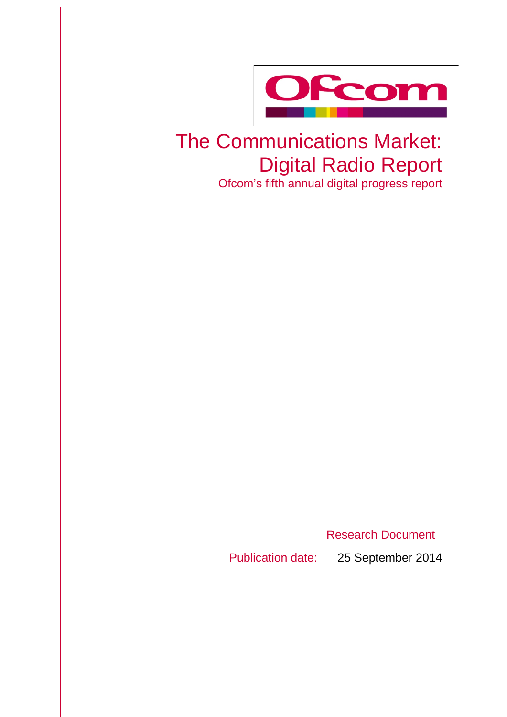

# The Communications Market: Digital Radio Report

Ofcom's fifth annual digital progress report

Research Document

Publication date: 25 September 2014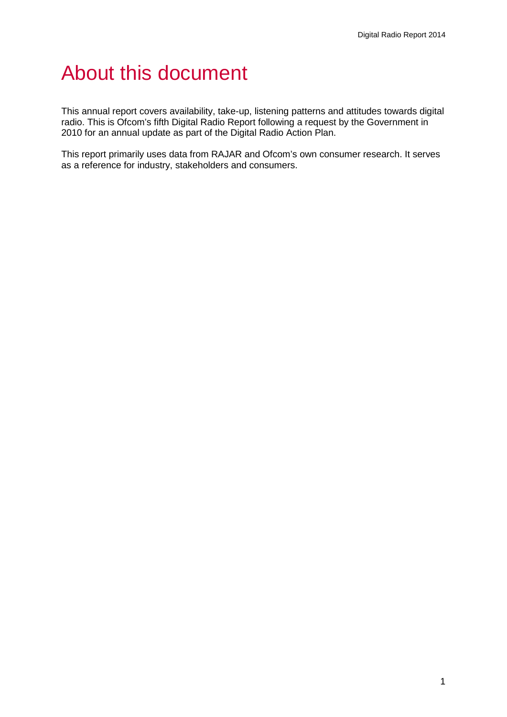## About this document

This annual report covers availability, take-up, listening patterns and attitudes towards digital radio. This is Ofcom's fifth Digital Radio Report following a request by the Government in 2010 for an annual update as part of the Digital Radio Action Plan.

This report primarily uses data from RAJAR and Ofcom's own consumer research. It serves as a reference for industry, stakeholders and consumers.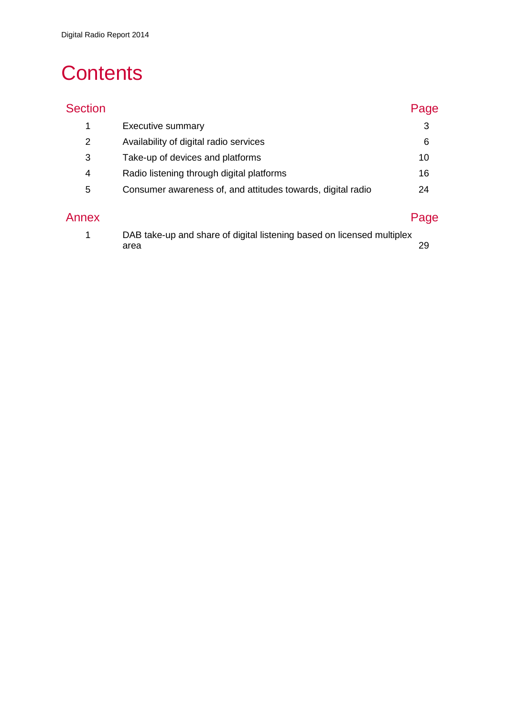## **Contents**

| <b>Section</b> |                                                             | Page |
|----------------|-------------------------------------------------------------|------|
| 1              | <b>Executive summary</b>                                    | 3    |
| 2              | Availability of digital radio services                      | 6    |
| 3              | Take-up of devices and platforms                            | 10   |
| 4              | Radio listening through digital platforms                   | 16   |
| 5              | Consumer awareness of, and attitudes towards, digital radio | 24   |
| Annex          |                                                             | Page |

| DAB take-up and share of digital listening based on licensed multiplex |  |
|------------------------------------------------------------------------|--|
| area                                                                   |  |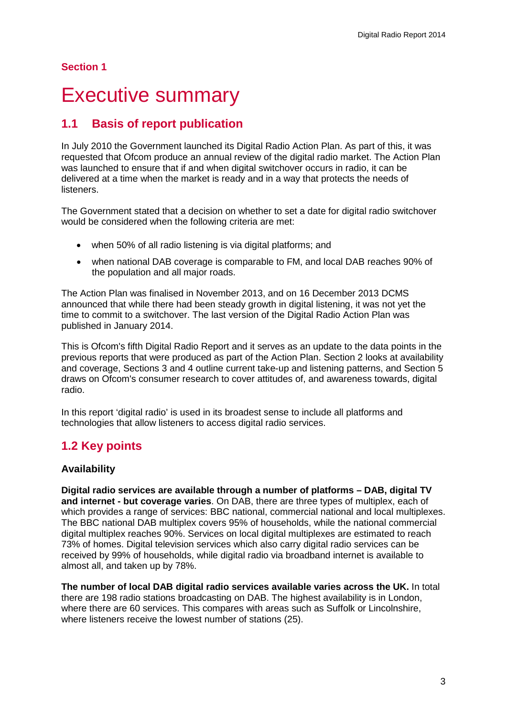## **Section 1**

## <span id="page-3-0"></span>**Executive summary**

## **1.1 Basis of report publication**

In July 2010 the Government launched its Digital Radio Action Plan. As part of this, it was requested that Ofcom produce an annual review of the digital radio market. The Action Plan was launched to ensure that if and when digital switchover occurs in radio, it can be delivered at a time when the market is ready and in a way that protects the needs of listeners.

The Government stated that a decision on whether to set a date for digital radio switchover would be considered when the following criteria are met:

- when 50% of all radio listening is via digital platforms; and
- when national DAB coverage is comparable to FM, and local DAB reaches 90% of the population and all major roads.

The Action Plan was finalised in November 2013, and on 16 December 2013 DCMS announced that while there had been steady growth in digital listening, it was not yet the time to commit to a switchover. The last version of the Digital Radio Action Plan was published in January 2014.

This is Ofcom's fifth Digital Radio Report and it serves as an update to the data points in the previous reports that were produced as part of the Action Plan. Section 2 looks at availability and coverage, Sections 3 and 4 outline current take-up and listening patterns, and Section 5 draws on Ofcom's consumer research to cover attitudes of, and awareness towards, digital radio.

In this report 'digital radio' is used in its broadest sense to include all platforms and technologies that allow listeners to access digital radio services.

## **1.2 Key points**

## **Availability**

**Digital radio services are available through a number of platforms – DAB, digital TV and internet - but coverage varies**. On DAB, there are three types of multiplex, each of which provides a range of services: BBC national, commercial national and local multiplexes. The BBC national DAB multiplex covers 95% of households, while the national commercial digital multiplex reaches 90%. Services on local digital multiplexes are estimated to reach 73% of homes. Digital television services which also carry digital radio services can be received by 99% of households, while digital radio via broadband internet is available to almost all, and taken up by 78%.

**The number of local DAB digital radio services available varies across the UK.** In total there are 198 radio stations broadcasting on DAB. The highest availability is in London, where there are 60 services. This compares with areas such as Suffolk or Lincolnshire, where listeners receive the lowest number of stations (25).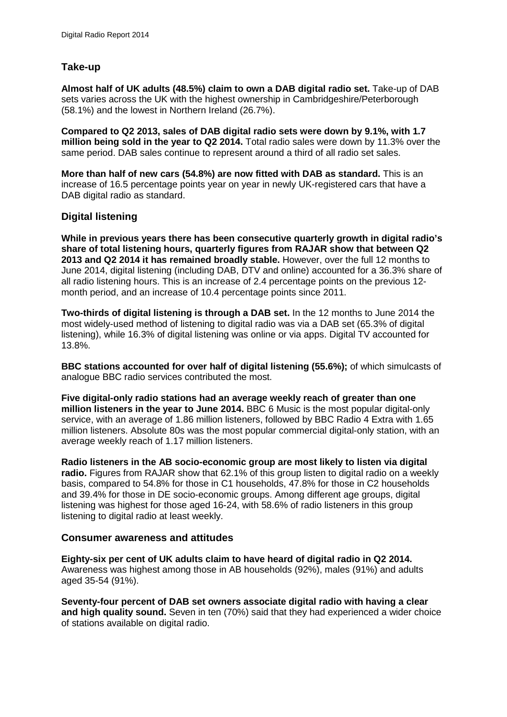## **Take-up**

**Almost half of UK adults (48.5%) claim to own a DAB digital radio set.** Take-up of DAB sets varies across the UK with the highest ownership in Cambridgeshire/Peterborough (58.1%) and the lowest in Northern Ireland (26.7%).

**Compared to Q2 2013, sales of DAB digital radio sets were down by 9.1%, with 1.7 million being sold in the year to Q2 2014.** Total radio sales were down by 11.3% over the same period. DAB sales continue to represent around a third of all radio set sales.

**More than half of new cars (54.8%) are now fitted with DAB as standard.** This is an increase of 16.5 percentage points year on year in newly UK-registered cars that have a DAB digital radio as standard.

## **Digital listening**

**While in previous years there has been consecutive quarterly growth in digital radio's share of total listening hours, quarterly figures from RAJAR show that between Q2 2013 and Q2 2014 it has remained broadly stable.** However, over the full 12 months to June 2014, digital listening (including DAB, DTV and online) accounted for a 36.3% share of all radio listening hours. This is an increase of 2.4 percentage points on the previous 12 month period, and an increase of 10.4 percentage points since 2011.

**Two-thirds of digital listening is through a DAB set.** In the 12 months to June 2014 the most widely-used method of listening to digital radio was via a DAB set (65.3% of digital listening), while 16.3% of digital listening was online or via apps. Digital TV accounted for 13.8%.

**BBC stations accounted for over half of digital listening (55.6%);** of which simulcasts of analogue BBC radio services contributed the most.

**Five digital-only radio stations had an average weekly reach of greater than one million listeners in the year to June 2014.** BBC 6 Music is the most popular digital-only service, with an average of 1.86 million listeners, followed by BBC Radio 4 Extra with 1.65 million listeners. Absolute 80s was the most popular commercial digital-only station, with an average weekly reach of 1.17 million listeners.

**Radio listeners in the AB socio-economic group are most likely to listen via digital radio.** Figures from RAJAR show that 62.1% of this group listen to digital radio on a weekly basis, compared to 54.8% for those in C1 households, 47.8% for those in C2 households and 39.4% for those in DE socio-economic groups. Among different age groups, digital listening was highest for those aged 16-24, with 58.6% of radio listeners in this group listening to digital radio at least weekly.

## **Consumer awareness and attitudes**

**Eighty-six per cent of UK adults claim to have heard of digital radio in Q2 2014.** Awareness was highest among those in AB households (92%), males (91%) and adults aged 35-54 (91%).

**Seventy-four percent of DAB set owners associate digital radio with having a clear and high quality sound.** Seven in ten (70%) said that they had experienced a wider choice of stations available on digital radio.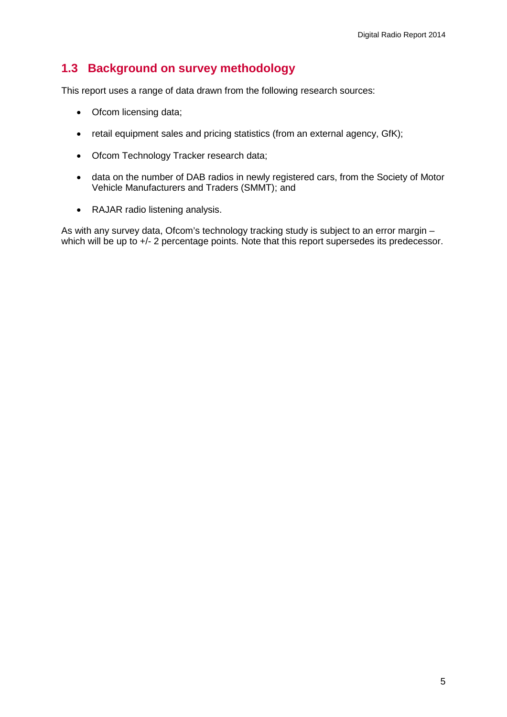## **1.3 Background on survey methodology**

This report uses a range of data drawn from the following research sources:

- Ofcom licensing data;
- retail equipment sales and pricing statistics (from an external agency, GfK);
- Ofcom Technology Tracker research data;
- data on the number of DAB radios in newly registered cars, from the Society of Motor Vehicle Manufacturers and Traders (SMMT); and
- RAJAR radio listening analysis.

As with any survey data, Ofcom's technology tracking study is subject to an error margin – which will be up to  $+/-$  2 percentage points. Note that this report supersedes its predecessor.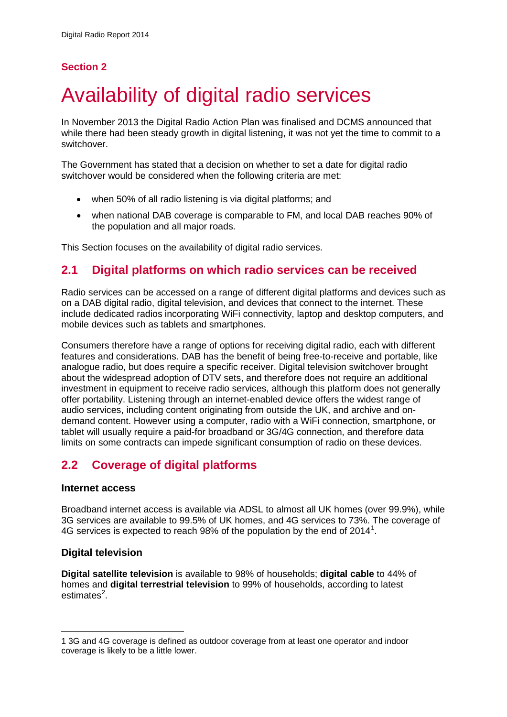## **Section 2**

# <span id="page-6-0"></span>2 Availability of digital radio services

In November 2013 the Digital Radio Action Plan was finalised and DCMS announced that while there had been steady growth in digital listening, it was not yet the time to commit to a switchover.

The Government has stated that a decision on whether to set a date for digital radio switchover would be considered when the following criteria are met:

- when 50% of all radio listening is via digital platforms; and
- when national DAB coverage is comparable to FM, and local DAB reaches 90% of the population and all major roads.

This Section focuses on the availability of digital radio services.

## **2.1 Digital platforms on which radio services can be received**

Radio services can be accessed on a range of different digital platforms and devices such as on a DAB digital radio, digital television, and devices that connect to the internet. These include dedicated radios incorporating WiFi connectivity, laptop and desktop computers, and mobile devices such as tablets and smartphones.

Consumers therefore have a range of options for receiving digital radio, each with different features and considerations. DAB has the benefit of being free-to-receive and portable, like analogue radio, but does require a specific receiver. Digital television switchover brought about the widespread adoption of DTV sets, and therefore does not require an additional investment in equipment to receive radio services, although this platform does not generally offer portability. Listening through an internet-enabled device offers the widest range of audio services, including content originating from outside the UK, and archive and ondemand content. However using a computer, radio with a WiFi connection, smartphone, or tablet will usually require a paid-for broadband or 3G/4G connection, and therefore data limits on some contracts can impede significant consumption of radio on these devices.

## **2.2 Coverage of digital platforms**

## **Internet access**

Broadband internet access is available via ADSL to almost all UK homes (over 99.9%), while 3G services are available to 99.5% of UK homes, and 4G services to 73%. The coverage of 4G services is expected to reach 98% of the population by the end of 20[1](#page-6-1)4<sup>1</sup>.

## **Digital television**

**Digital satellite television** is available to 98% of households; **digital cable** to 44% of homes and **digital terrestrial television** to 99% of households, according to latest estimates<sup>[2](#page-6-1)</sup>.

<span id="page-6-1"></span><sup>1</sup> 3G and 4G coverage is defined as outdoor coverage from at least one operator and indoor coverage is likely to be a little lower. -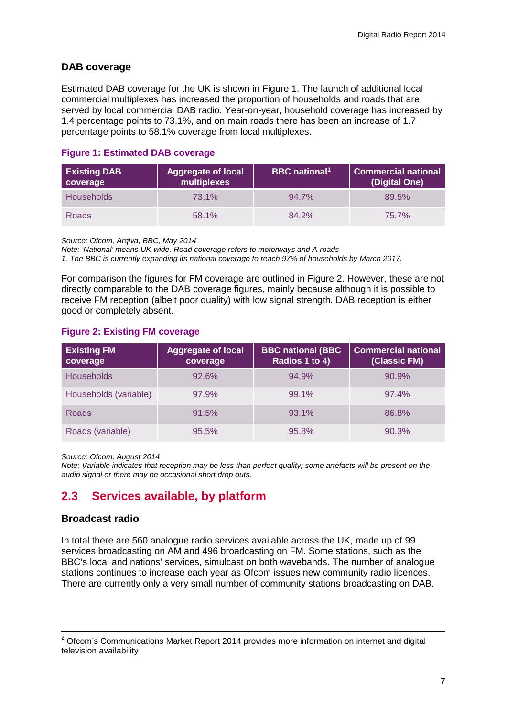## **DAB coverage**

Estimated DAB coverage for the UK is shown in Figure 1. The launch of additional local commercial multiplexes has increased the proportion of households and roads that are served by local commercial DAB radio. Year-on-year, household coverage has increased by 1.4 percentage points to 73.1%, and on main roads there has been an increase of 1.7 percentage points to 58.1% coverage from local multiplexes.

## **Figure 1: Estimated DAB coverage**

| <b>Existing DAB</b><br>coverage | <b>Aggregate of local</b><br>multiplexes | <b>BBC</b> national <sup>1</sup> | <b>Commercial national</b><br>(Digital One) |
|---------------------------------|------------------------------------------|----------------------------------|---------------------------------------------|
| <b>Households</b>               | 73.1%                                    | 94.7%                            | 89.5%                                       |
| <b>Roads</b>                    | 58.1%                                    | 84.2%                            | 75.7%                                       |

*Source: Ofcom, Arqiva, BBC, May 2014*

*Note: 'National' means UK-wide. Road coverage refers to motorways and A-roads*

*1. The BBC is currently expanding its national coverage to reach 97% of households by March 2017.*

For comparison the figures for FM coverage are outlined in Figure 2. However, these are not directly comparable to the DAB coverage figures, mainly because although it is possible to receive FM reception (albeit poor quality) with low signal strength, DAB reception is either good or completely absent.

## **Figure 2: Existing FM coverage**

| <b>Existing FM</b><br>coverage | <b>Aggregate of local</b><br>coverage | <b>BBC national (BBC</b><br>Radios 1 to 4) | <b>Commercial national</b><br>(Classic FM) |
|--------------------------------|---------------------------------------|--------------------------------------------|--------------------------------------------|
| <b>Households</b>              | 92.6%                                 | 94.9%                                      | 90.9%                                      |
| Households (variable)          | 97.9%                                 | 99.1%                                      | 97.4%                                      |
| Roads                          | 91.5%                                 | 93.1%                                      | 86.8%                                      |
| Roads (variable)               | 95.5%                                 | 95.8%                                      | 90.3%                                      |

*Source: Ofcom, August 2014*

*Note: Variable indicates that reception may be less than perfect quality; some artefacts will be present on the audio signal or there may be occasional short drop outs.*

## **2.3 Services available, by platform**

## **Broadcast radio**

 $\overline{a}$ 

In total there are 560 analogue radio services available across the UK, made up of 99 services broadcasting on AM and 496 broadcasting on FM. Some stations, such as the BBC's local and nations' services, simulcast on both wavebands. The number of analogue stations continues to increase each year as Ofcom issues new community radio licences. There are currently only a very small number of community stations broadcasting on DAB.

 $2$  Ofcom's Communications Market Report 2014 provides more information on internet and digital television availability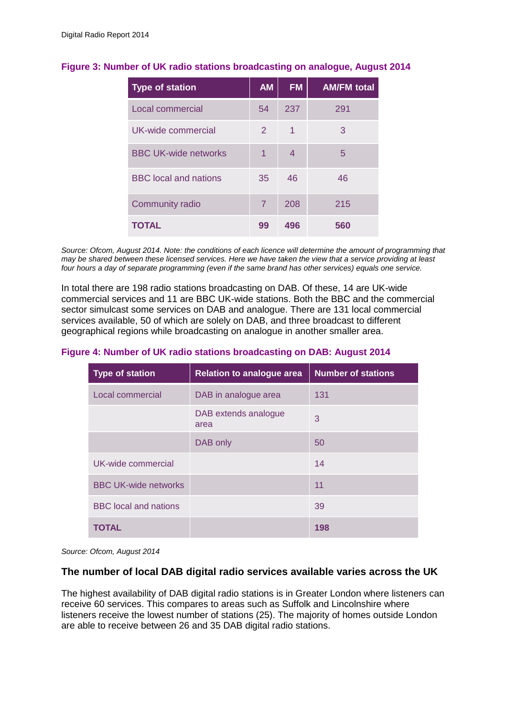| <b>Type of station</b>       | <b>AM</b>      | <b>FM</b> | <b>AM/FM total</b> |
|------------------------------|----------------|-----------|--------------------|
| Local commercial             | 54             | 237       | 291                |
| UK-wide commercial           | 2              | 1         | 3                  |
| <b>BBC UK-wide networks</b>  | 1              | 4         | 5                  |
| <b>BBC</b> local and nations | 35             | 46        | 46                 |
| <b>Community radio</b>       | $\overline{7}$ | 208       | 215                |
| <b>TOTAL</b>                 | 99             | 496       | 560                |

## **Figure 3: Number of UK radio stations broadcasting on analogue, August 2014**

*Source: Ofcom, August 2014. Note: the conditions of each licence will determine the amount of programming that may be shared between these licensed services. Here we have taken the view that a service providing at least four hours a day of separate programming (even if the same brand has other services) equals one service.* 

In total there are 198 radio stations broadcasting on DAB. Of these, 14 are UK-wide commercial services and 11 are BBC UK-wide stations. Both the BBC and the commercial sector simulcast some services on DAB and analogue. There are 131 local commercial services available, 50 of which are solely on DAB, and three broadcast to different geographical regions while broadcasting on analogue in another smaller area.

## **Figure 4: Number of UK radio stations broadcasting on DAB: August 2014**

| <b>Type of station</b>       | <b>Relation to analogue area</b> | <b>Number of stations</b> |
|------------------------------|----------------------------------|---------------------------|
| Local commercial             | DAB in analogue area             | 131                       |
|                              | DAB extends analogue<br>area     | 3                         |
|                              | DAB only                         | 50                        |
| UK-wide commercial           |                                  | 14                        |
| <b>BBC UK-wide networks</b>  |                                  | 11                        |
| <b>BBC</b> local and nations |                                  | 39                        |
| TOTAL                        |                                  | 198                       |

*Source: Ofcom, August 2014*

## **The number of local DAB digital radio services available varies across the UK**

The highest availability of DAB digital radio stations is in Greater London where listeners can receive 60 services. This compares to areas such as Suffolk and Lincolnshire where listeners receive the lowest number of stations (25). The majority of homes outside London are able to receive between 26 and 35 DAB digital radio stations.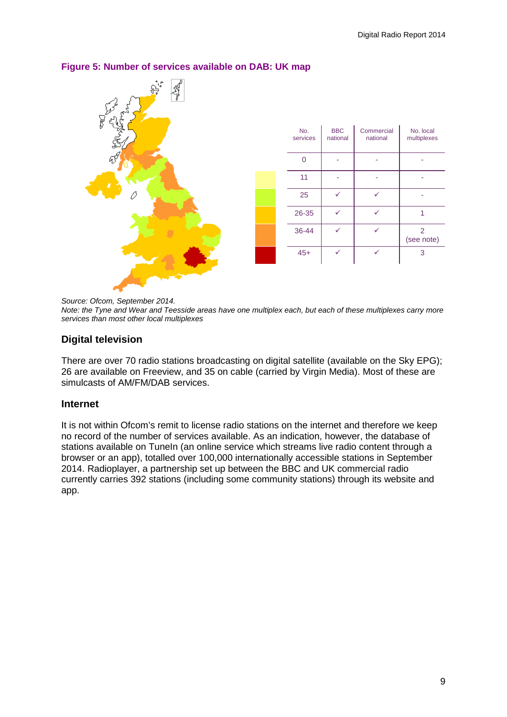

## **Figure 5: Number of services available on DAB: UK map**

*Source: Ofcom, September 2014.* 

*Note: the Tyne and Wear and Teesside areas have one multiplex each, but each of these multiplexes carry more services than most other local multiplexes*

## **Digital television**

There are over 70 radio stations broadcasting on digital satellite (available on the Sky EPG); 26 are available on Freeview, and 35 on cable (carried by Virgin Media). Most of these are simulcasts of AM/FM/DAB services.

## **Internet**

It is not within Ofcom's remit to license radio stations on the internet and therefore we keep no record of the number of services available. As an indication, however, the database of stations available on TuneIn (an online service which streams live radio content through a browser or an app), totalled over 100,000 internationally accessible stations in September 2014. Radioplayer, a partnership set up between the BBC and UK commercial radio currently carries 392 stations (including some community stations) through its website and app.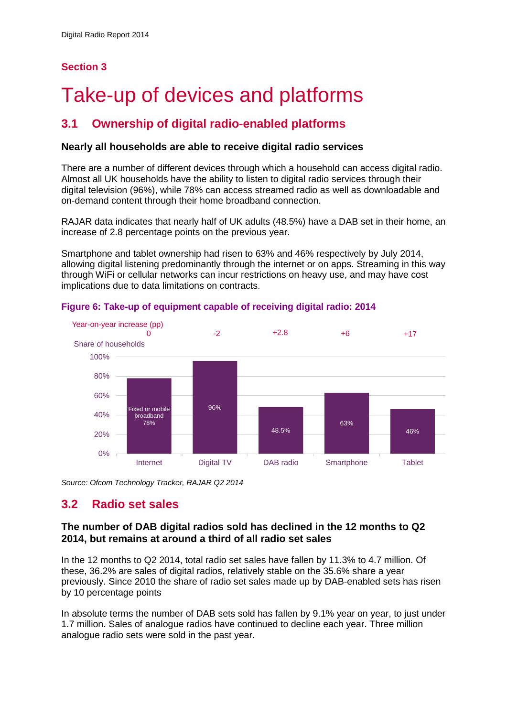## **Section 3**

# <span id="page-10-0"></span>Take-up of devices and platforms

## **3.1 Ownership of digital radio-enabled platforms**

## **Nearly all households are able to receive digital radio services**

There are a number of different devices through which a household can access digital radio. Almost all UK households have the ability to listen to digital radio services through their digital television (96%), while 78% can access streamed radio as well as downloadable and on-demand content through their home broadband connection.

RAJAR data indicates that nearly half of UK adults (48.5%) have a DAB set in their home, an increase of 2.8 percentage points on the previous year.

Smartphone and tablet ownership had risen to 63% and 46% respectively by July 2014, allowing digital listening predominantly through the internet or on apps. Streaming in this way through WiFi or cellular networks can incur restrictions on heavy use, and may have cost implications due to data limitations on contracts.



**Figure 6: Take-up of equipment capable of receiving digital radio: 2014**

*Source: Ofcom Technology Tracker, RAJAR Q2 2014*

## **3.2 Radio set sales**

## **The number of DAB digital radios sold has declined in the 12 months to Q2 2014, but remains at around a third of all radio set sales**

In the 12 months to Q2 2014, total radio set sales have fallen by 11.3% to 4.7 million. Of these, 36.2% are sales of digital radios, relatively stable on the 35.6% share a year previously. Since 2010 the share of radio set sales made up by DAB-enabled sets has risen by 10 percentage points

In absolute terms the number of DAB sets sold has fallen by 9.1% year on year, to just under 1.7 million. Sales of analogue radios have continued to decline each year. Three million analogue radio sets were sold in the past year.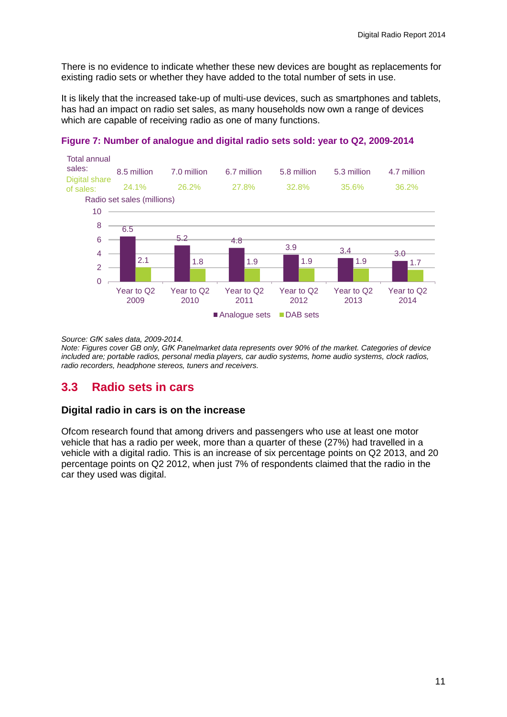There is no evidence to indicate whether these new devices are bought as replacements for existing radio sets or whether they have added to the total number of sets in use.

It is likely that the increased take-up of multi-use devices, such as smartphones and tablets, has had an impact on radio set sales, as many households now own a range of devices which are capable of receiving radio as one of many functions.



**Figure 7: Number of analogue and digital radio sets sold: year to Q2, 2009-2014**

*Source: GfK sales data, 2009-2014.* 

*Note: Figures cover GB only, GfK Panelmarket data represents over 90% of the market. Categories of device included are; portable radios, personal media players, car audio systems, home audio systems, clock radios, radio recorders, headphone stereos, tuners and receivers.*

## **3.3 Radio sets in cars**

## **Digital radio in cars is on the increase**

Ofcom research found that among drivers and passengers who use at least one motor vehicle that has a radio per week, more than a quarter of these (27%) had travelled in a vehicle with a digital radio. This is an increase of six percentage points on Q2 2013, and 20 percentage points on Q2 2012, when just 7% of respondents claimed that the radio in the car they used was digital.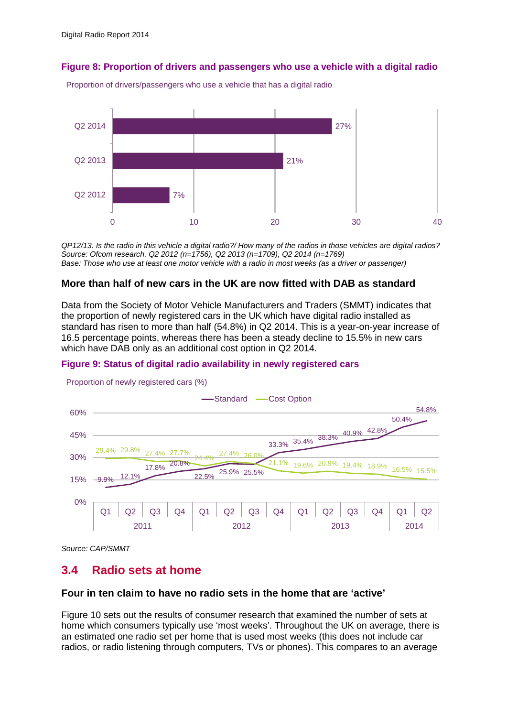**Figure 8: Proportion of drivers and passengers who use a vehicle with a digital radio**



Proportion of drivers/passengers who use a vehicle that has a digital radio

*QP12/13. Is the radio in this vehicle a digital radio?/ How many of the radios in those vehicles are digital radios? Source: Ofcom research, Q2 2012 (n=1756), Q2 2013 (n=1709), Q2 2014 (n=1769) Base: Those who use at least one motor vehicle with a radio in most weeks (as a driver or passenger)*

## **More than half of new cars in the UK are now fitted with DAB as standard**

Data from the Society of Motor Vehicle Manufacturers and Traders (SMMT) indicates that the proportion of newly registered cars in the UK which have digital radio installed as standard has risen to more than half (54.8%) in Q2 2014. This is a year-on-year increase of 16.5 percentage points, whereas there has been a steady decline to 15.5% in new cars which have DAB only as an additional cost option in Q2 2014.

#### **Figure 9: Status of digital radio availability in newly registered cars**



Proportion of newly registered cars (%)

*Source: CAP/SMMT*

## **3.4 Radio sets at home**

#### **Four in ten claim to have no radio sets in the home that are 'active'**

Figure 10 sets out the results of consumer research that examined the number of sets at home which consumers typically use 'most weeks'. Throughout the UK on average, there is an estimated one radio set per home that is used most weeks (this does not include car radios, or radio listening through computers, TVs or phones). This compares to an average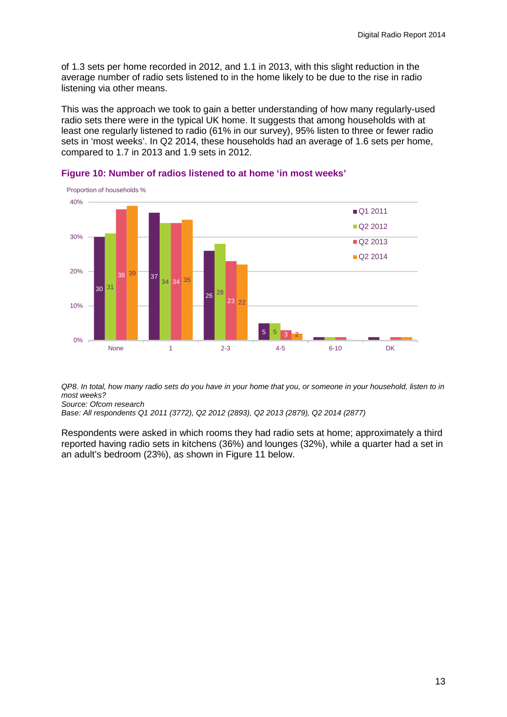of 1.3 sets per home recorded in 2012, and 1.1 in 2013, with this slight reduction in the average number of radio sets listened to in the home likely to be due to the rise in radio listening via other means.

This was the approach we took to gain a better understanding of how many regularly-used radio sets there were in the typical UK home. It suggests that among households with at least one regularly listened to radio (61% in our survey), 95% listen to three or fewer radio sets in 'most weeks'. In Q2 2014, these households had an average of 1.6 sets per home, compared to 1.7 in 2013 and 1.9 sets in 2012.



#### **Figure 10: Number of radios listened to at home 'in most weeks'**

*QP8. In total, how many radio sets do you have in your home that you, or someone in your household, listen to in most weeks? Source: Ofcom research*

*Base: All respondents Q1 2011 (3772), Q2 2012 (2893), Q2 2013 (2879), Q2 2014 (2877)*

Respondents were asked in which rooms they had radio sets at home; approximately a third reported having radio sets in kitchens (36%) and lounges (32%), while a quarter had a set in an adult's bedroom (23%), as shown in Figure 11 below.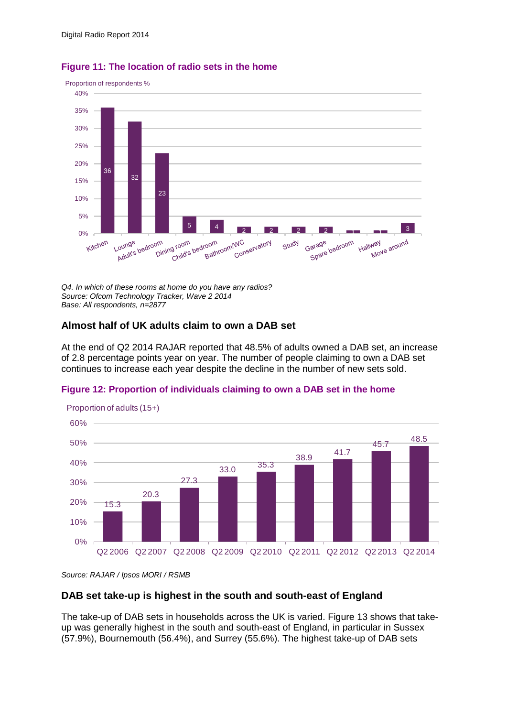

### **Figure 11: The location of radio sets in the home**

*Q4. In which of these rooms at home do you have any radios? Source: Ofcom Technology Tracker, Wave 2 2014 Base: All respondents, n=2877*

## **Almost half of UK adults claim to own a DAB set**

At the end of Q2 2014 RAJAR reported that 48.5% of adults owned a DAB set, an increase of 2.8 percentage points year on year. The number of people claiming to own a DAB set continues to increase each year despite the decline in the number of new sets sold.

#### **Figure 12: Proportion of individuals claiming to own a DAB set in the home**



Proportion of adults (15+)

*Source: RAJAR / Ipsos MORI / RSMB* 

## **DAB set take-up is highest in the south and south-east of England**

The take-up of DAB sets in households across the UK is varied. Figure 13 shows that takeup was generally highest in the south and south-east of England, in particular in Sussex (57.9%), Bournemouth (56.4%), and Surrey (55.6%). The highest take-up of DAB sets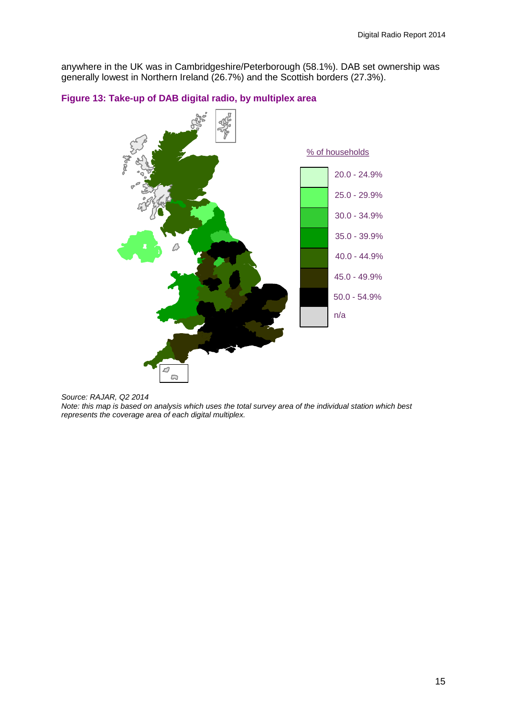anywhere in the UK was in Cambridgeshire/Peterborough (58.1%). DAB set ownership was generally lowest in Northern Ireland (26.7%) and the Scottish borders (27.3%).



#### **Figure 13: Take-up of DAB digital radio, by multiplex area**

*Note: this map is based on analysis which uses the total survey area of the individual station which best represents the coverage area of each digital multiplex.*

*Source: RAJAR, Q2 2014*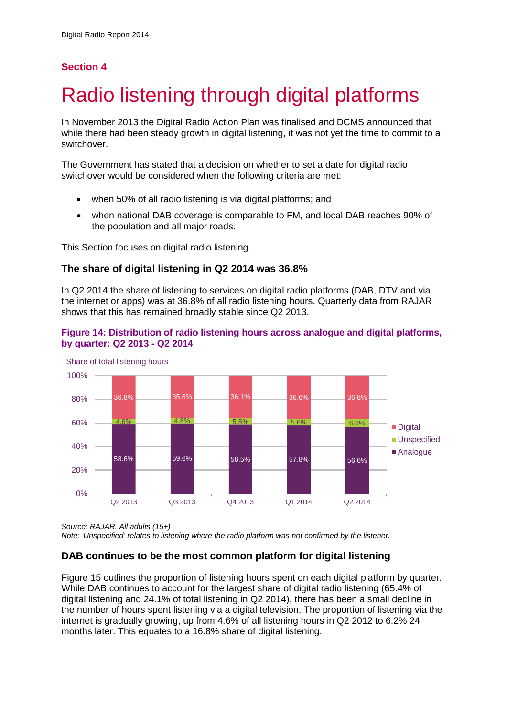## **Section 4**

# <span id="page-16-0"></span>Radio listening through digital platforms

In November 2013 the Digital Radio Action Plan was finalised and DCMS announced that while there had been steady growth in digital listening, it was not yet the time to commit to a switchover.

The Government has stated that a decision on whether to set a date for digital radio switchover would be considered when the following criteria are met:

- when 50% of all radio listening is via digital platforms; and
- when national DAB coverage is comparable to FM, and local DAB reaches 90% of the population and all major roads.

This Section focuses on digital radio listening.

## **The share of digital listening in Q2 2014 was 36.8%**

In Q2 2014 the share of listening to services on digital radio platforms (DAB, DTV and via the internet or apps) was at 36.8% of all radio listening hours. Quarterly data from RAJAR shows that this has remained broadly stable since Q2 2013.





*Source: RAJAR. All adults (15+)*

*Note: 'Unspecified' relates to listening where the radio platform was not confirmed by the listener.* 

## **DAB continues to be the most common platform for digital listening**

Figure 15 outlines the proportion of listening hours spent on each digital platform by quarter. While DAB continues to account for the largest share of digital radio listening (65.4% of digital listening and 24.1% of total listening in Q2 2014), there has been a small decline in the number of hours spent listening via a digital television. The proportion of listening via the internet is gradually growing, up from 4.6% of all listening hours in Q2 2012 to 6.2% 24 months later. This equates to a 16.8% share of digital listening.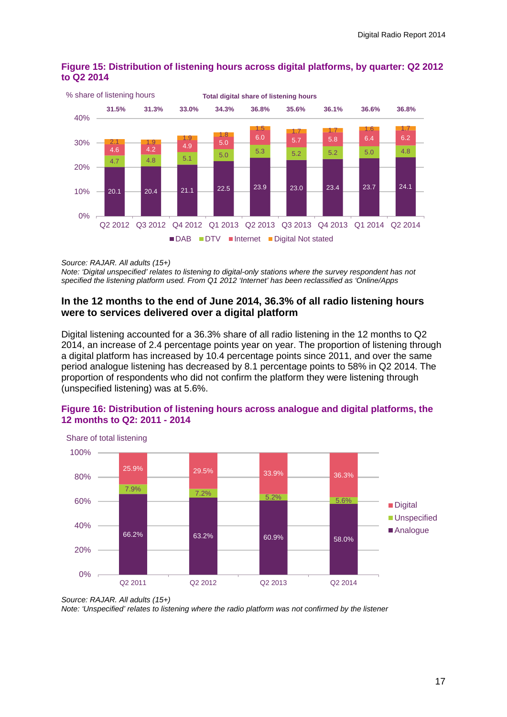

## **Figure 15: Distribution of listening hours across digital platforms, by quarter: Q2 2012 to Q2 2014**

*Source: RAJAR. All adults (15+)*

*Note: 'Digital unspecified' relates to listening to digital-only stations where the survey respondent has not specified the listening platform used. From Q1 2012 'Internet' has been reclassified as 'Online/Apps*

## **In the 12 months to the end of June 2014, 36.3% of all radio listening hours were to services delivered over a digital platform**

Digital listening accounted for a 36.3% share of all radio listening in the 12 months to Q2 2014, an increase of 2.4 percentage points year on year. The proportion of listening through a digital platform has increased by 10.4 percentage points since 2011, and over the same period analogue listening has decreased by 8.1 percentage points to 58% in Q2 2014. The proportion of respondents who did not confirm the platform they were listening through (unspecified listening) was at 5.6%.



#### **Figure 16: Distribution of listening hours across analogue and digital platforms, the 12 months to Q2: 2011 - 2014**

*Source: RAJAR. All adults (15+) Note: 'Unspecified' relates to listening where the radio platform was not confirmed by the listener*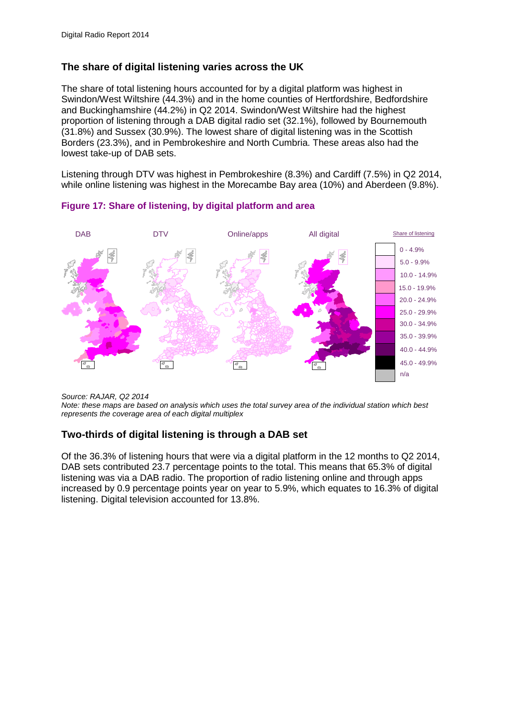## **The share of digital listening varies across the UK**

The share of total listening hours accounted for by a digital platform was highest in Swindon/West Wiltshire (44.3%) and in the home counties of Hertfordshire, Bedfordshire and Buckinghamshire (44.2%) in Q2 2014. Swindon/West Wiltshire had the highest proportion of listening through a DAB digital radio set (32.1%), followed by Bournemouth (31.8%) and Sussex (30.9%). The lowest share of digital listening was in the Scottish Borders (23.3%), and in Pembrokeshire and North Cumbria. These areas also had the lowest take-up of DAB sets.

Listening through DTV was highest in Pembrokeshire (8.3%) and Cardiff (7.5%) in Q2 2014, while online listening was highest in the Morecambe Bay area (10%) and Aberdeen (9.8%).



#### **Figure 17: Share of listening, by digital platform and area**

*Source: RAJAR, Q2 2014*

*Note: these maps are based on analysis which uses the total survey area of the individual station which best represents the coverage area of each digital multiplex*

## **Two-thirds of digital listening is through a DAB set**

Of the 36.3% of listening hours that were via a digital platform in the 12 months to Q2 2014, DAB sets contributed 23.7 percentage points to the total. This means that 65.3% of digital listening was via a DAB radio. The proportion of radio listening online and through apps increased by 0.9 percentage points year on year to 5.9%, which equates to 16.3% of digital listening. Digital television accounted for 13.8%.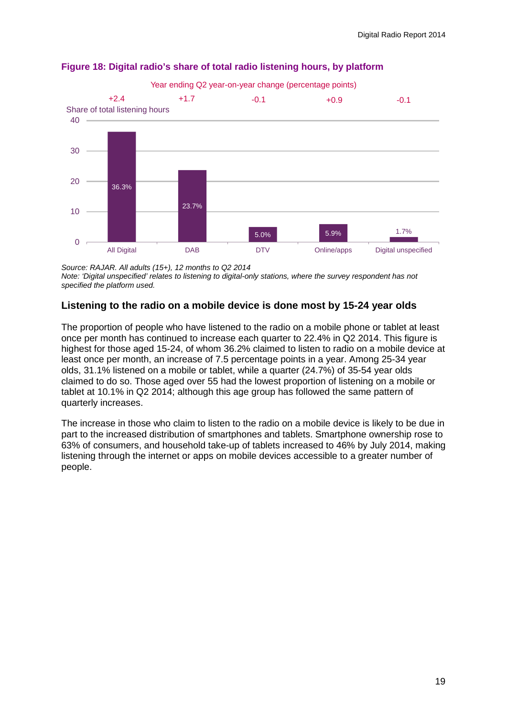

## **Figure 18: Digital radio's share of total radio listening hours, by platform**

*Source: RAJAR. All adults (15+), 12 months to Q2 2014*

*Note: 'Digital unspecified' relates to listening to digital-only stations, where the survey respondent has not specified the platform used.*

## **Listening to the radio on a mobile device is done most by 15-24 year olds**

The proportion of people who have listened to the radio on a mobile phone or tablet at least once per month has continued to increase each quarter to 22.4% in Q2 2014. This figure is highest for those aged 15-24, of whom 36.2% claimed to listen to radio on a mobile device at least once per month, an increase of 7.5 percentage points in a year. Among 25-34 year olds, 31.1% listened on a mobile or tablet, while a quarter (24.7%) of 35-54 year olds claimed to do so. Those aged over 55 had the lowest proportion of listening on a mobile or tablet at 10.1% in Q2 2014; although this age group has followed the same pattern of quarterly increases.

The increase in those who claim to listen to the radio on a mobile device is likely to be due in part to the increased distribution of smartphones and tablets. Smartphone ownership rose to 63% of consumers, and household take-up of tablets increased to 46% by July 2014, making listening through the internet or apps on mobile devices accessible to a greater number of people.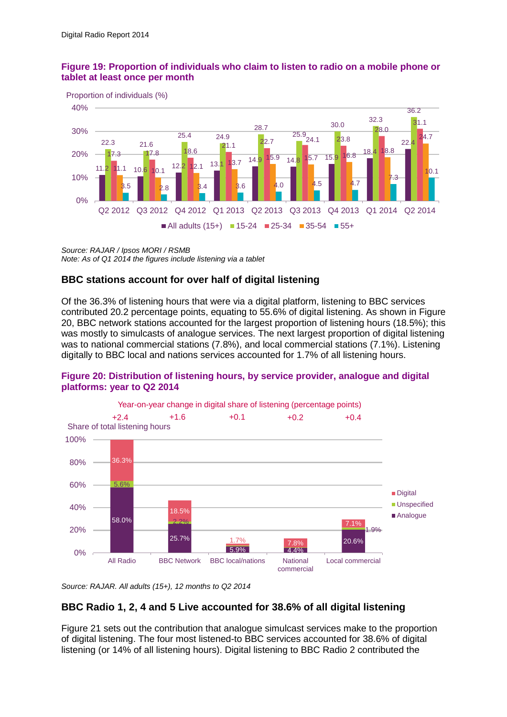## **Figure 19: Proportion of individuals who claim to listen to radio on a mobile phone or tablet at least once per month**



*Source: RAJAR / Ipsos MORI / RSMB Note: As of Q1 2014 the figures include listening via a tablet*

## **BBC stations account for over half of digital listening**

Of the 36.3% of listening hours that were via a digital platform, listening to BBC services contributed 20.2 percentage points, equating to 55.6% of digital listening. As shown in Figure 20, BBC network stations accounted for the largest proportion of listening hours (18.5%); this was mostly to simulcasts of analogue services. The next largest proportion of digital listening was to national commercial stations (7.8%), and local commercial stations (7.1%). Listening digitally to BBC local and nations services accounted for 1.7% of all listening hours.

#### 58.0% 25.7% 5.9% 4.4% 20.6% 5.6% 2.2% 1.9% 36.3% 18.5%  $1.7%$ 7.1% 0% 20% 40% 60% 80% 100% All Radio BBC Network BBC local/nations National commercial Local commercial Digital **Unspecified** Analogue Share of total listening hours Year-on-year change in digital share of listening (percentage points) +2.4 +1.6 +0.1 +0.2 +0.4

## **Figure 20: Distribution of listening hours, by service provider, analogue and digital platforms: year to Q2 2014**

*Source: RAJAR. All adults (15+), 12 months to Q2 2014*

## **BBC Radio 1, 2, 4 and 5 Live accounted for 38.6% of all digital listening**

Figure 21 sets out the contribution that analogue simulcast services make to the proportion of digital listening. The four most listened-to BBC services accounted for 38.6% of digital listening (or 14% of all listening hours). Digital listening to BBC Radio 2 contributed the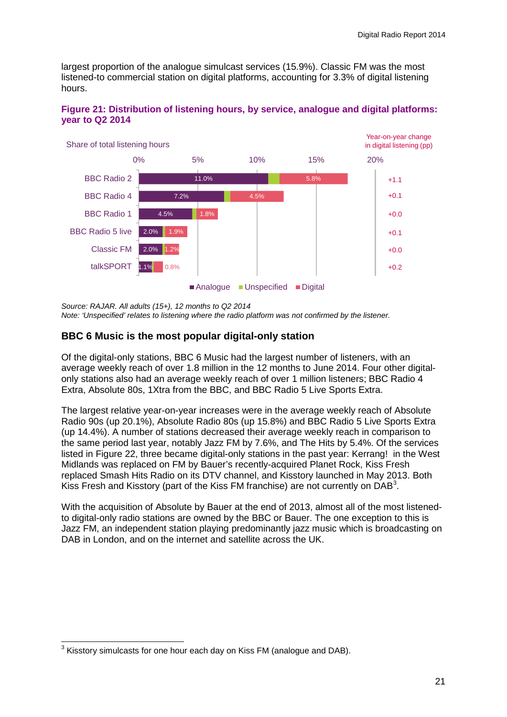largest proportion of the analogue simulcast services (15.9%). Classic FM was the most listened-to commercial station on digital platforms, accounting for 3.3% of digital listening hours.



#### **Figure 21: Distribution of listening hours, by service, analogue and digital platforms: year to Q2 2014**

*Source: RAJAR. All adults (15+), 12 months to Q2 2014*

*Note: 'Unspecified' relates to listening where the radio platform was not confirmed by the listener.* 

## **BBC 6 Music is the most popular digital-only station**

Of the digital-only stations, BBC 6 Music had the largest number of listeners, with an average weekly reach of over 1.8 million in the 12 months to June 2014. Four other digitalonly stations also had an average weekly reach of over 1 million listeners; BBC Radio 4 Extra, Absolute 80s, 1Xtra from the BBC, and BBC Radio 5 Live Sports Extra.

The largest relative year-on-year increases were in the average weekly reach of Absolute Radio 90s (up 20.1%), Absolute Radio 80s (up 15.8%) and BBC Radio 5 Live Sports Extra (up 14.4%). A number of stations decreased their average weekly reach in comparison to the same period last year, notably Jazz FM by 7.6%, and The Hits by 5.4%. Of the services listed in Figure 22, three became digital-only stations in the past year: Kerrang! in the West Midlands was replaced on FM by Bauer's recently-acquired Planet Rock, Kiss Fresh replaced Smash Hits Radio on its DTV channel, and Kisstory launched in May 2013. Both Kiss Fresh and Kisstory (part of the Kiss FM franchise) are not currently on  $DAB<sup>3</sup>$  $DAB<sup>3</sup>$  $DAB<sup>3</sup>$ .

With the acquisition of Absolute by Bauer at the end of 2013, almost all of the most listenedto digital-only radio stations are owned by the BBC or Bauer. The one exception to this is Jazz FM, an independent station playing predominantly jazz music which is broadcasting on DAB in London, and on the internet and satellite across the UK.

<span id="page-21-0"></span> $^3$  Kisstory simulcasts for one hour each day on Kiss FM (analogue and DAB).  $\overline{a}$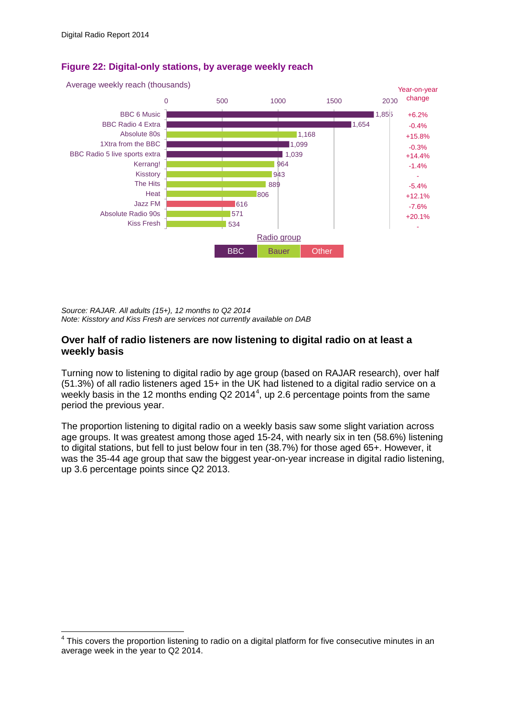$\overline{a}$ 



## **Figure 22: Digital-only stations, by average weekly reach**

*Source: RAJAR. All adults (15+), 12 months to Q2 2014 Note: Kisstory and Kiss Fresh are services not currently available on DAB*

## **Over half of radio listeners are now listening to digital radio on at least a weekly basis**

Turning now to listening to digital radio by age group (based on RAJAR research), over half (51.3%) of all radio listeners aged 15+ in the UK had listened to a digital radio service on a weekly basis in the 12 months ending Q2 201[4](#page-22-0)<sup>4</sup>, up 2.6 percentage points from the same period the previous year.

The proportion listening to digital radio on a weekly basis saw some slight variation across age groups. It was greatest among those aged 15-24, with nearly six in ten (58.6%) listening to digital stations, but fell to just below four in ten (38.7%) for those aged 65+. However, it was the 35-44 age group that saw the biggest year-on-year increase in digital radio listening, up 3.6 percentage points since Q2 2013.

<span id="page-22-0"></span> $4$  This covers the proportion listening to radio on a digital platform for five consecutive minutes in an average week in the year to Q2 2014.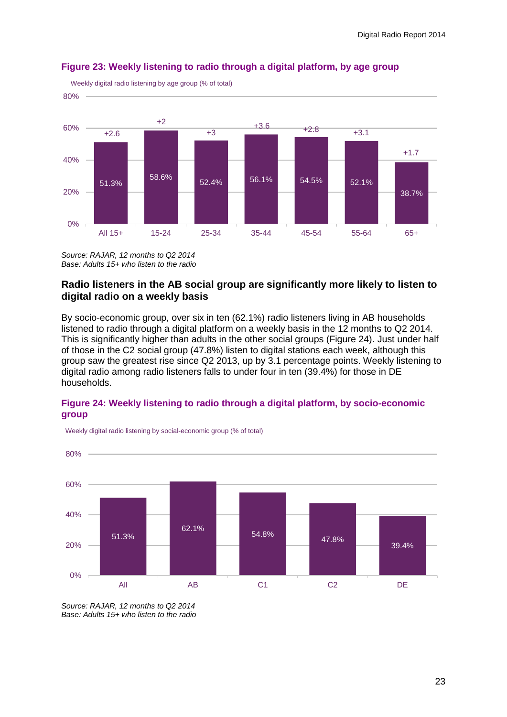

## **Figure 23: Weekly listening to radio through a digital platform, by age group**

*Source: RAJAR, 12 months to Q2 2014 Base: Adults 15+ who listen to the radio*

## **Radio listeners in the AB social group are significantly more likely to listen to digital radio on a weekly basis**

By socio-economic group, over six in ten (62.1%) radio listeners living in AB households listened to radio through a digital platform on a weekly basis in the 12 months to Q2 2014. This is significantly higher than adults in the other social groups (Figure 24). Just under half of those in the C2 social group (47.8%) listen to digital stations each week, although this group saw the greatest rise since Q2 2013, up by 3.1 percentage points. Weekly listening to digital radio among radio listeners falls to under four in ten (39.4%) for those in DE households.

## **Figure 24: Weekly listening to radio through a digital platform, by socio-economic group**



Weekly digital radio listening by social-economic group (% of total)

*Source: RAJAR, 12 months to Q2 2014 Base: Adults 15+ who listen to the radio*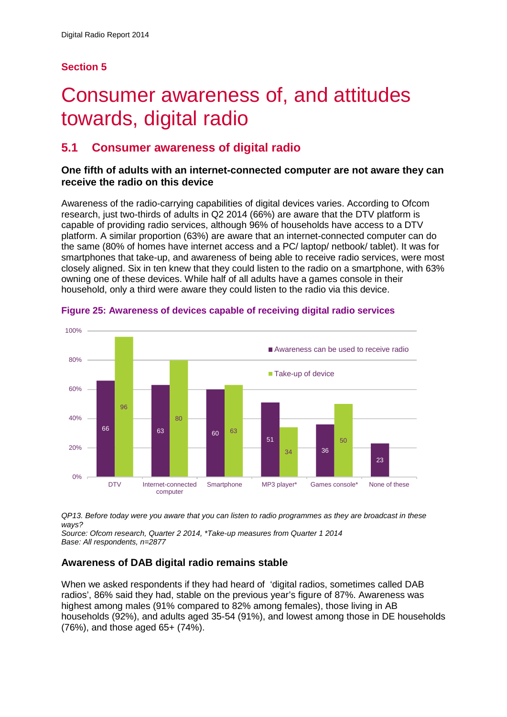## **Section 5**

## <span id="page-24-0"></span>5 Consumer awareness of, and attitudes towards, digital radio

## **5.1 Consumer awareness of digital radio**

## **One fifth of adults with an internet-connected computer are not aware they can receive the radio on this device**

Awareness of the radio-carrying capabilities of digital devices varies. According to Ofcom research, just two-thirds of adults in Q2 2014 (66%) are aware that the DTV platform is capable of providing radio services, although 96% of households have access to a DTV platform. A similar proportion (63%) are aware that an internet-connected computer can do the same (80% of homes have internet access and a PC/ laptop/ netbook/ tablet). It was for smartphones that take-up, and awareness of being able to receive radio services, were most closely aligned. Six in ten knew that they could listen to the radio on a smartphone, with 63% owning one of these devices. While half of all adults have a games console in their household, only a third were aware they could listen to the radio via this device.



**Figure 25: Awareness of devices capable of receiving digital radio services**

*QP13. Before today were you aware that you can listen to radio programmes as they are broadcast in these ways?*

*Source: Ofcom research, Quarter 2 2014, \*Take-up measures from Quarter 1 2014 Base: All respondents, n=2877*

## **Awareness of DAB digital radio remains stable**

When we asked respondents if they had heard of 'digital radios, sometimes called DAB radios', 86% said they had, stable on the previous year's figure of 87%. Awareness was highest among males (91% compared to 82% among females), those living in AB households (92%), and adults aged 35-54 (91%), and lowest among those in DE households (76%), and those aged 65+ (74%).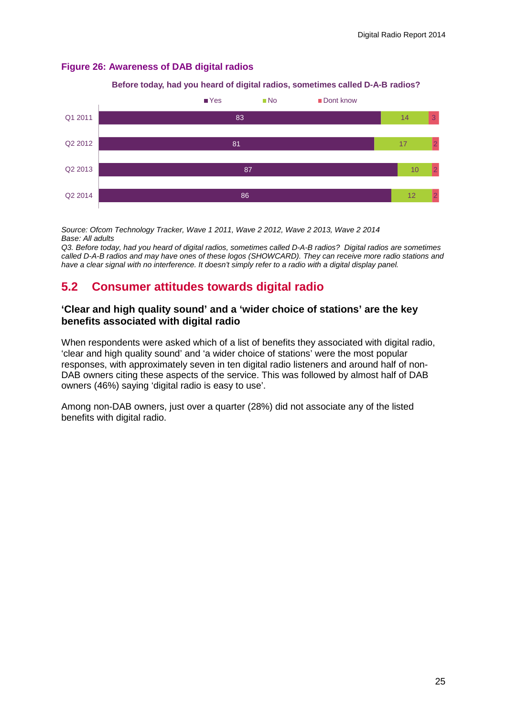### **Figure 26: Awareness of DAB digital radios**





*Source: Ofcom Technology Tracker, Wave 1 2011, Wave 2 2012, Wave 2 2013, Wave 2 2014 Base: All adults*

*Q3. Before today, had you heard of digital radios, sometimes called D-A-B radios? Digital radios are sometimes called D-A-B radios and may have ones of these logos (SHOWCARD). They can receive more radio stations and have a clear signal with no interference. It doesn't simply refer to a radio with a digital display panel.* 

## **5.2 Consumer attitudes towards digital radio**

## **'Clear and high quality sound' and a 'wider choice of stations' are the key benefits associated with digital radio**

When respondents were asked which of a list of benefits they associated with digital radio, 'clear and high quality sound' and 'a wider choice of stations' were the most popular responses, with approximately seven in ten digital radio listeners and around half of non-DAB owners citing these aspects of the service. This was followed by almost half of DAB owners (46%) saying 'digital radio is easy to use'.

Among non-DAB owners, just over a quarter (28%) did not associate any of the listed benefits with digital radio.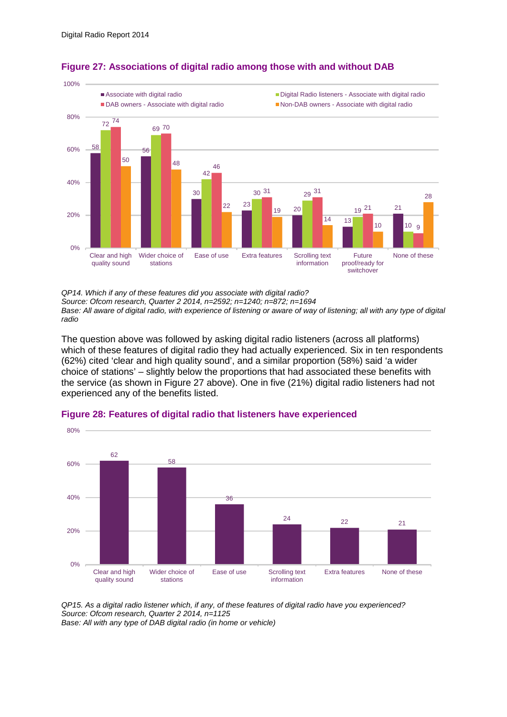

## **Figure 27: Associations of digital radio among those with and without DAB**

*QP14. Which if any of these features did you associate with digital radio? Source: Ofcom research, Quarter 2 2014, n=2592; n=1240; n=872; n=1694*

*Base: All aware of digital radio, with experience of listening or aware of way of listening; all with any type of digital radio*

The question above was followed by asking digital radio listeners (across all platforms) which of these features of digital radio they had actually experienced. Six in ten respondents (62%) cited 'clear and high quality sound', and a similar proportion (58%) said 'a wider choice of stations' – slightly below the proportions that had associated these benefits with the service (as shown in Figure 27 above). One in five (21%) digital radio listeners had not experienced any of the benefits listed.



#### **Figure 28: Features of digital radio that listeners have experienced**

*QP15. As a digital radio listener which, if any, of these features of digital radio have you experienced? Source: Ofcom research, Quarter 2 2014, n=1125*

*Base: All with any type of DAB digital radio (in home or vehicle)*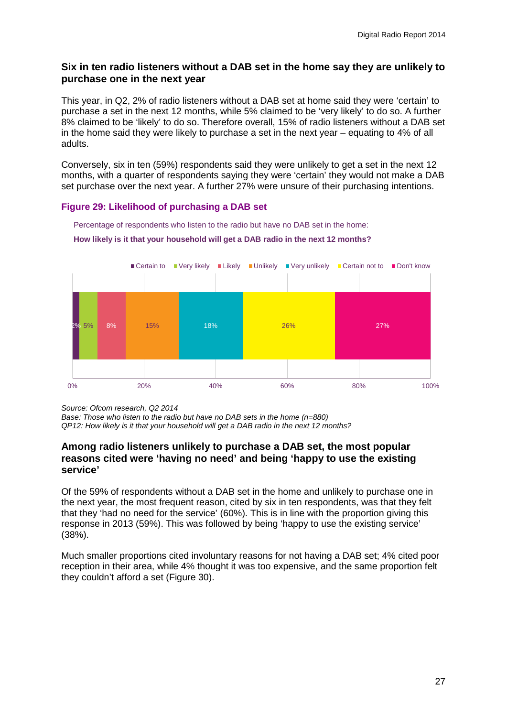## **Six in ten radio listeners without a DAB set in the home say they are unlikely to purchase one in the next year**

This year, in Q2, 2% of radio listeners without a DAB set at home said they were 'certain' to purchase a set in the next 12 months, while 5% claimed to be 'very likely' to do so. A further 8% claimed to be 'likely' to do so. Therefore overall, 15% of radio listeners without a DAB set in the home said they were likely to purchase a set in the next year – equating to 4% of all adults.

Conversely, six in ten (59%) respondents said they were unlikely to get a set in the next 12 months, with a quarter of respondents saying they were 'certain' they would not make a DAB set purchase over the next year. A further 27% were unsure of their purchasing intentions.

## **Figure 29: Likelihood of purchasing a DAB set**



Percentage of respondents who listen to the radio but have no DAB set in the home: **How likely is it that your household will get a DAB radio in the next 12 months?** 

*Source: Ofcom research, Q2 2014*

*Base: Those who listen to the radio but have no DAB sets in the home (n=880) QP12: How likely is it that your household will get a DAB radio in the next 12 months?* 

## **Among radio listeners unlikely to purchase a DAB set, the most popular reasons cited were 'having no need' and being 'happy to use the existing service'**

Of the 59% of respondents without a DAB set in the home and unlikely to purchase one in the next year, the most frequent reason, cited by six in ten respondents, was that they felt that they 'had no need for the service' (60%). This is in line with the proportion giving this response in 2013 (59%). This was followed by being 'happy to use the existing service' (38%).

Much smaller proportions cited involuntary reasons for not having a DAB set; 4% cited poor reception in their area, while 4% thought it was too expensive, and the same proportion felt they couldn't afford a set (Figure 30).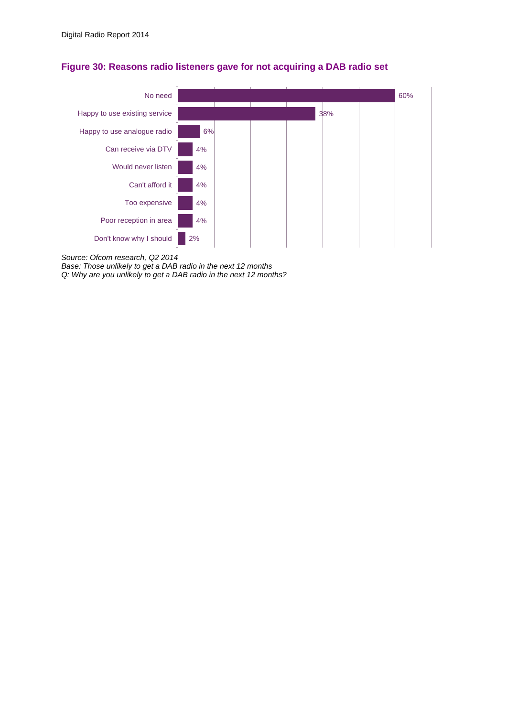

## **Figure 30: Reasons radio listeners gave for not acquiring a DAB radio set**

*Source: Ofcom research, Q2 2014*

*Base: Those unlikely to get a DAB radio in the next 12 months* 

*Q: Why are you unlikely to get a DAB radio in the next 12 months?*